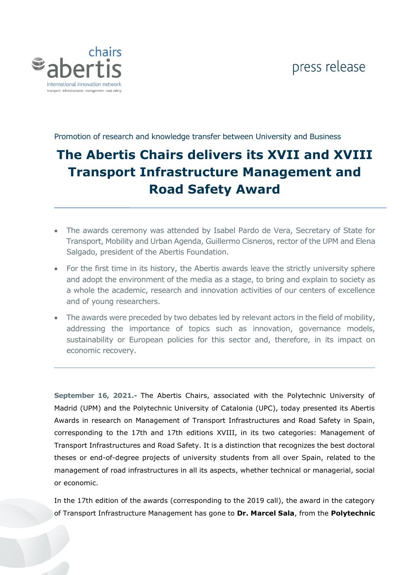## press release



Promotion of research and knowledge transfer between University and Business

## **The Abertis Chairs delivers its XVII and XVIII Transport Infrastructure Management and Road Safety Award**

- The awards ceremony was attended by Isabel Pardo de Vera, Secretary of State for Transport, Mobility and Urban Agenda, Guillermo Cisneros, rector of the UPM and Elena Salgado, president of the Abertis Foundation.
- For the first time in its history, the Abertis awards leave the strictly university sphere and adopt the environment of the media as a stage, to bring and explain to society as a whole the academic, research and innovation activities of our centers of excellence and of young researchers.
- The awards were preceded by two debates led by relevant actors in the field of mobility, addressing the importance of topics such as innovation, governance models, sustainability or European policies for this sector and, therefore, in its impact on economic recovery.

**September 16, 2021.-** The Abertis Chairs, associated with the Polytechnic University of Madrid (UPM) and the Polytechnic University of Catalonia (UPC), today presented its Abertis Awards in research on Management of Transport Infrastructures and Road Safety in Spain, corresponding to the 17th and 17th editions XVIII, in its two categories: Management of Transport Infrastructures and Road Safety. It is a distinction that recognizes the best doctoral theses or end-of-degree projects of university students from all over Spain, related to the management of road infrastructures in all its aspects, whether technical or managerial, social or economic.

In the 17th edition of the awards (corresponding to the 2019 call), the award in the category of Transport Infrastructure Management has gone to **Dr. Marcel Sala**, from the **Polytechnic**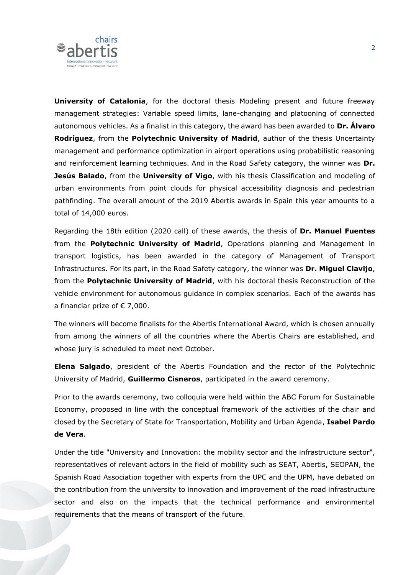

**University of Catalonia**, for the doctoral thesis Modeling present and future freeway management strategies: Variable speed limits, lane-changing and platooning of connected autonomous vehicles. As a finalist in this category, the award has been awarded to **Dr. Álvaro Rodríguez**, from the **Polytechnic University of Madrid**, author of the thesis Uncertainty management and performance optimization in airport operations using probabilistic reasoning and reinforcement learning techniques. And in the Road Safety category, the winner was **Dr. Jesús Balado**, from the **University of Vigo**, with his thesis Classification and modeling of urban environments from point clouds for physical accessibility diagnosis and pedestrian pathfinding. The overall amount of the 2019 Abertis awards in Spain this year amounts to a total of 14,000 euros.

Regarding the 18th edition (2020 call) of these awards, the thesis of **Dr. Manuel Fuentes** from the **Polytechnic University of Madrid**, Operations planning and Management in transport logistics, has been awarded in the category of Management of Transport Infrastructures. For its part, in the Road Safety category, the winner was **Dr. Miguel Clavijo**, from the **Polytechnic University of Madrid**, with his doctoral thesis Reconstruction of the vehicle environment for autonomous guidance in complex scenarios. Each of the awards has a financiar prize of  $\epsilon$  7,000.

The winners will become finalists for the Abertis International Award, which is chosen annually from among the winners of all the countries where the Abertis Chairs are established, and whose jury is scheduled to meet next October.

**Elena Salgado**, president of the Abertis Foundation and the rector of the Polytechnic University of Madrid, **Guillermo Cisneros**, participated in the award ceremony.

Prior to the awards ceremony, two colloquia were held within the ABC Forum for Sustainable Economy, proposed in line with the conceptual framework of the activities of the chair and closed by the Secretary of State for Transportation, Mobility and Urban Agenda, **Isabel Pardo de Vera**.

Under the title "University and Innovation: the mobility sector and the infrastructure sector", representatives of relevant actors in the field of mobility such as SEAT, Abertis, SEOPAN, the Spanish Road Association together with experts from the UPC and the UPM, have debated on the contribution from the university to innovation and improvement of the road infrastructure sector and also on the impacts that the technical performance and environmental requirements that the means of transport of the future.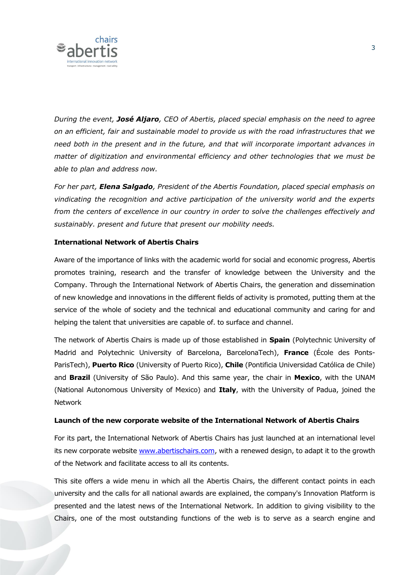

*During the event, José Aljaro, CEO of Abertis, placed special emphasis on the need to agree on an efficient, fair and sustainable model to provide us with the road infrastructures that we need both in the present and in the future, and that will incorporate important advances in matter of digitization and environmental efficiency and other technologies that we must be able to plan and address now.*

*For her part, Elena Salgado, President of the Abertis Foundation, placed special emphasis on vindicating the recognition and active participation of the university world and the experts from the centers of excellence in our country in order to solve the challenges effectively and sustainably. present and future that present our mobility needs.*

## **International Network of Abertis Chairs**

Aware of the importance of links with the academic world for social and economic progress, Abertis promotes training, research and the transfer of knowledge between the University and the Company. Through the International Network of Abertis Chairs, the generation and dissemination of new knowledge and innovations in the different fields of activity is promoted, putting them at the service of the whole of society and the technical and educational community and caring for and helping the talent that universities are capable of. to surface and channel.

The network of Abertis Chairs is made up of those established in **Spain** (Polytechnic University of Madrid and Polytechnic University of Barcelona, BarcelonaTech), **France** (École des Ponts-ParisTech), **Puerto Rico** (University of Puerto Rico), **Chile** (Pontificia Universidad Católica de Chile) and **Brazil** (University of São Paulo). And this same year, the chair in **Mexico**, with the UNAM (National Autonomous University of Mexico) and **Italy**, with the University of Padua, joined the Network

## **Launch of the new corporate website of the International Network of Abertis Chairs**

For its part, the International Network of Abertis Chairs has just launched at an international level its new corporate website [www.abertischairs.com,](www.abertischairs.com) with a renewed design, to adapt it to the growth of the Network and facilitate access to all its contents.

This site offers a wide menu in which all the Abertis Chairs, the different contact points in each university and the calls for all national awards are explained, the company's Innovation Platform is presented and the latest news of the International Network. In addition to giving visibility to the Chairs, one of the most outstanding functions of the web is to serve as a search engine and